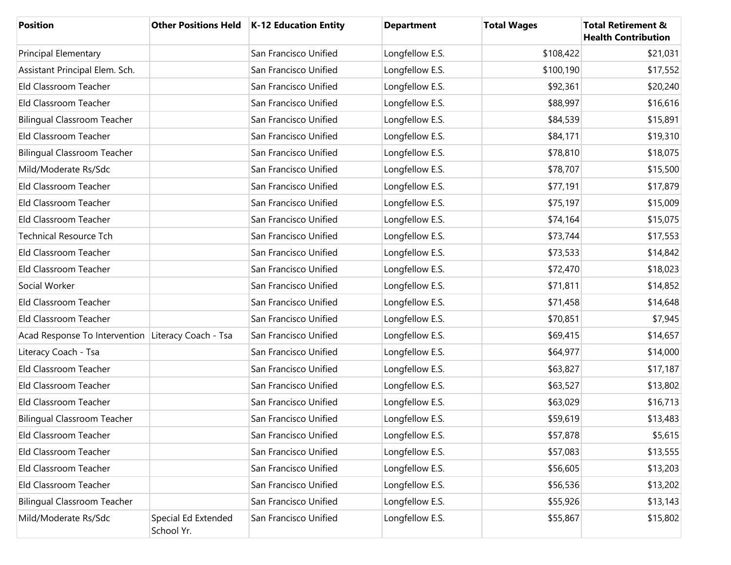| <b>Position</b>                                    |                                   | Other Positions Held   K-12 Education Entity | <b>Department</b> | <b>Total Wages</b> | <b>Total Retirement &amp;</b><br><b>Health Contribution</b> |
|----------------------------------------------------|-----------------------------------|----------------------------------------------|-------------------|--------------------|-------------------------------------------------------------|
| <b>Principal Elementary</b>                        |                                   | San Francisco Unified                        | Longfellow E.S.   | \$108,422          | \$21,031                                                    |
| Assistant Principal Elem. Sch.                     |                                   | San Francisco Unified                        | Longfellow E.S.   | \$100,190          | \$17,552                                                    |
| Eld Classroom Teacher                              |                                   | San Francisco Unified                        | Longfellow E.S.   | \$92,361           | \$20,240                                                    |
| Eld Classroom Teacher                              |                                   | San Francisco Unified                        | Longfellow E.S.   | \$88,997           | \$16,616                                                    |
| <b>Bilingual Classroom Teacher</b>                 |                                   | San Francisco Unified                        | Longfellow E.S.   | \$84,539           | \$15,891                                                    |
| Eld Classroom Teacher                              |                                   | San Francisco Unified                        | Longfellow E.S.   | \$84,171           | \$19,310                                                    |
| <b>Bilingual Classroom Teacher</b>                 |                                   | San Francisco Unified                        | Longfellow E.S.   | \$78,810           | \$18,075                                                    |
| Mild/Moderate Rs/Sdc                               |                                   | San Francisco Unified                        | Longfellow E.S.   | \$78,707           | \$15,500                                                    |
| Eld Classroom Teacher                              |                                   | San Francisco Unified                        | Longfellow E.S.   | \$77,191           | \$17,879                                                    |
| Eld Classroom Teacher                              |                                   | San Francisco Unified                        | Longfellow E.S.   | \$75,197           | \$15,009                                                    |
| Eld Classroom Teacher                              |                                   | San Francisco Unified                        | Longfellow E.S.   | \$74,164           | \$15,075                                                    |
| <b>Technical Resource Tch</b>                      |                                   | San Francisco Unified                        | Longfellow E.S.   | \$73,744           | \$17,553                                                    |
| Eld Classroom Teacher                              |                                   | San Francisco Unified                        | Longfellow E.S.   | \$73,533           | \$14,842                                                    |
| Eld Classroom Teacher                              |                                   | San Francisco Unified                        | Longfellow E.S.   | \$72,470           | \$18,023                                                    |
| Social Worker                                      |                                   | San Francisco Unified                        | Longfellow E.S.   | \$71,811           | \$14,852                                                    |
| Eld Classroom Teacher                              |                                   | San Francisco Unified                        | Longfellow E.S.   | \$71,458           | \$14,648                                                    |
| Eld Classroom Teacher                              |                                   | San Francisco Unified                        | Longfellow E.S.   | \$70,851           | \$7,945                                                     |
| Acad Response To Intervention Literacy Coach - Tsa |                                   | San Francisco Unified                        | Longfellow E.S.   | \$69,415           | \$14,657                                                    |
| Literacy Coach - Tsa                               |                                   | San Francisco Unified                        | Longfellow E.S.   | \$64,977           | \$14,000                                                    |
| Eld Classroom Teacher                              |                                   | San Francisco Unified                        | Longfellow E.S.   | \$63,827           | \$17,187                                                    |
| Eld Classroom Teacher                              |                                   | San Francisco Unified                        | Longfellow E.S.   | \$63,527           | \$13,802                                                    |
| Eld Classroom Teacher                              |                                   | San Francisco Unified                        | Longfellow E.S.   | \$63,029           | \$16,713                                                    |
| <b>Bilingual Classroom Teacher</b>                 |                                   | San Francisco Unified                        | Longfellow E.S.   | \$59,619           | \$13,483                                                    |
| Eld Classroom Teacher                              |                                   | San Francisco Unified                        | Longfellow E.S.   | \$57,878           | \$5,615                                                     |
| Eld Classroom Teacher                              |                                   | San Francisco Unified                        | Longfellow E.S.   | \$57,083           | \$13,555                                                    |
| Eld Classroom Teacher                              |                                   | San Francisco Unified                        | Longfellow E.S.   | \$56,605           | \$13,203                                                    |
| Eld Classroom Teacher                              |                                   | San Francisco Unified                        | Longfellow E.S.   | \$56,536           | \$13,202                                                    |
| <b>Bilingual Classroom Teacher</b>                 |                                   | San Francisco Unified                        | Longfellow E.S.   | \$55,926           | \$13,143                                                    |
| Mild/Moderate Rs/Sdc                               | Special Ed Extended<br>School Yr. | San Francisco Unified                        | Longfellow E.S.   | \$55,867           | \$15,802                                                    |